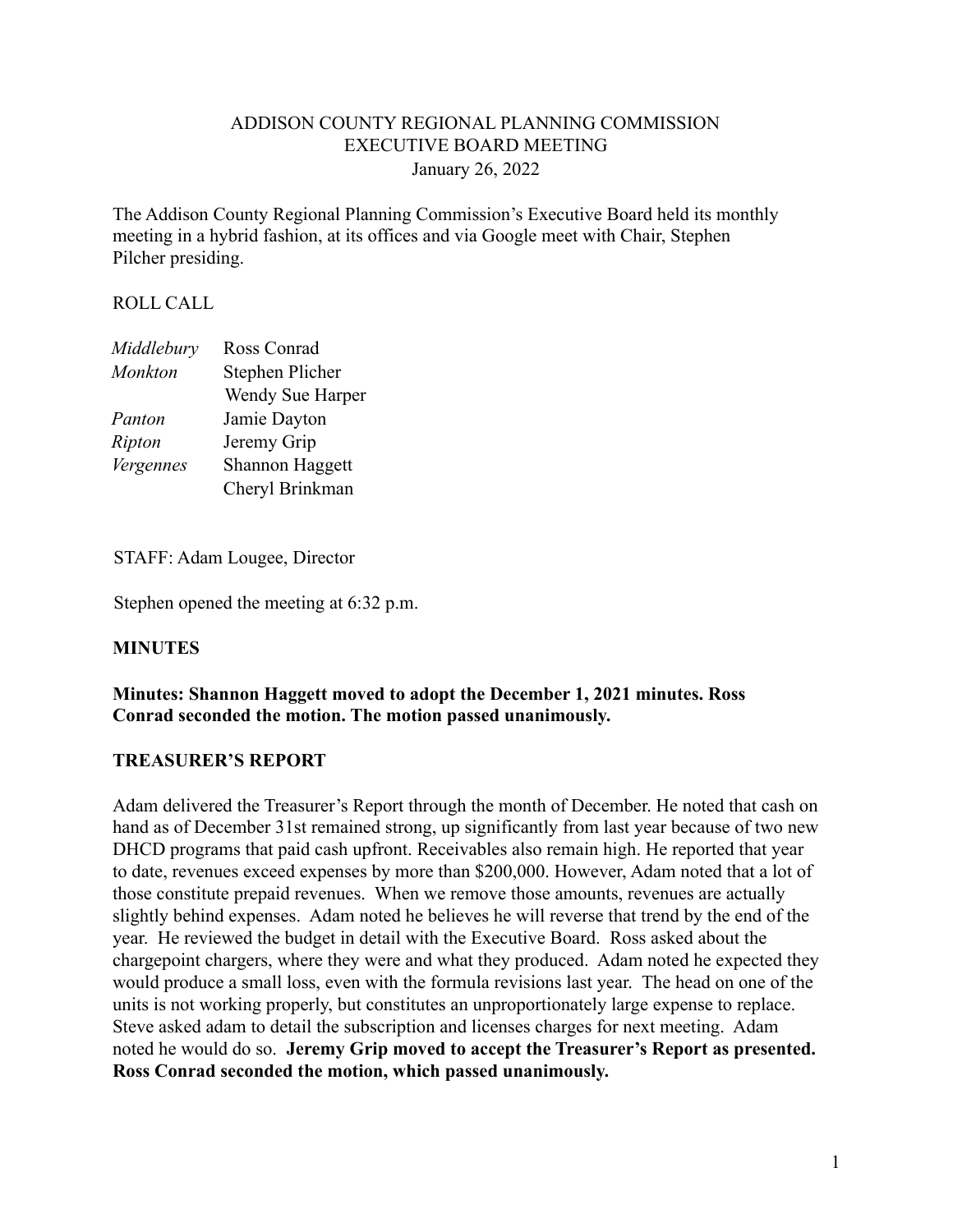### ADDISON COUNTY REGIONAL PLANNING COMMISSION EXECUTIVE BOARD MEETING January 26, 2022

The Addison County Regional Planning Commission's Executive Board held its monthly meeting in a hybrid fashion, at its offices and via Google meet with Chair, Stephen Pilcher presiding.

### ROLL CALL

| Middlebury     | Ross Conrad            |
|----------------|------------------------|
| <b>Monkton</b> | Stephen Plicher        |
|                | Wendy Sue Harper       |
| Panton         | Jamie Dayton           |
| Ripton         | Jeremy Grip            |
| Vergennes      | <b>Shannon Haggett</b> |
|                | Cheryl Brinkman        |

STAFF: Adam Lougee, Director

Stephen opened the meeting at 6:32 p.m.

## **MINUTES**

### **Minutes: Shannon Haggett moved to adopt the December 1, 2021 minutes. Ross Conrad seconded the motion. The motion passed unanimously.**

#### **TREASURER'S REPORT**

Adam delivered the Treasurer's Report through the month of December. He noted that cash on hand as of December 31st remained strong, up significantly from last year because of two new DHCD programs that paid cash upfront. Receivables also remain high. He reported that year to date, revenues exceed expenses by more than \$200,000. However, Adam noted that a lot of those constitute prepaid revenues. When we remove those amounts, revenues are actually slightly behind expenses. Adam noted he believes he will reverse that trend by the end of the year. He reviewed the budget in detail with the Executive Board. Ross asked about the chargepoint chargers, where they were and what they produced. Adam noted he expected they would produce a small loss, even with the formula revisions last year. The head on one of the units is not working properly, but constitutes an unproportionately large expense to replace. Steve asked adam to detail the subscription and licenses charges for next meeting. Adam noted he would do so. **Jeremy Grip moved to accept the Treasurer's Report as presented. Ross Conrad seconded the motion, which passed unanimously.**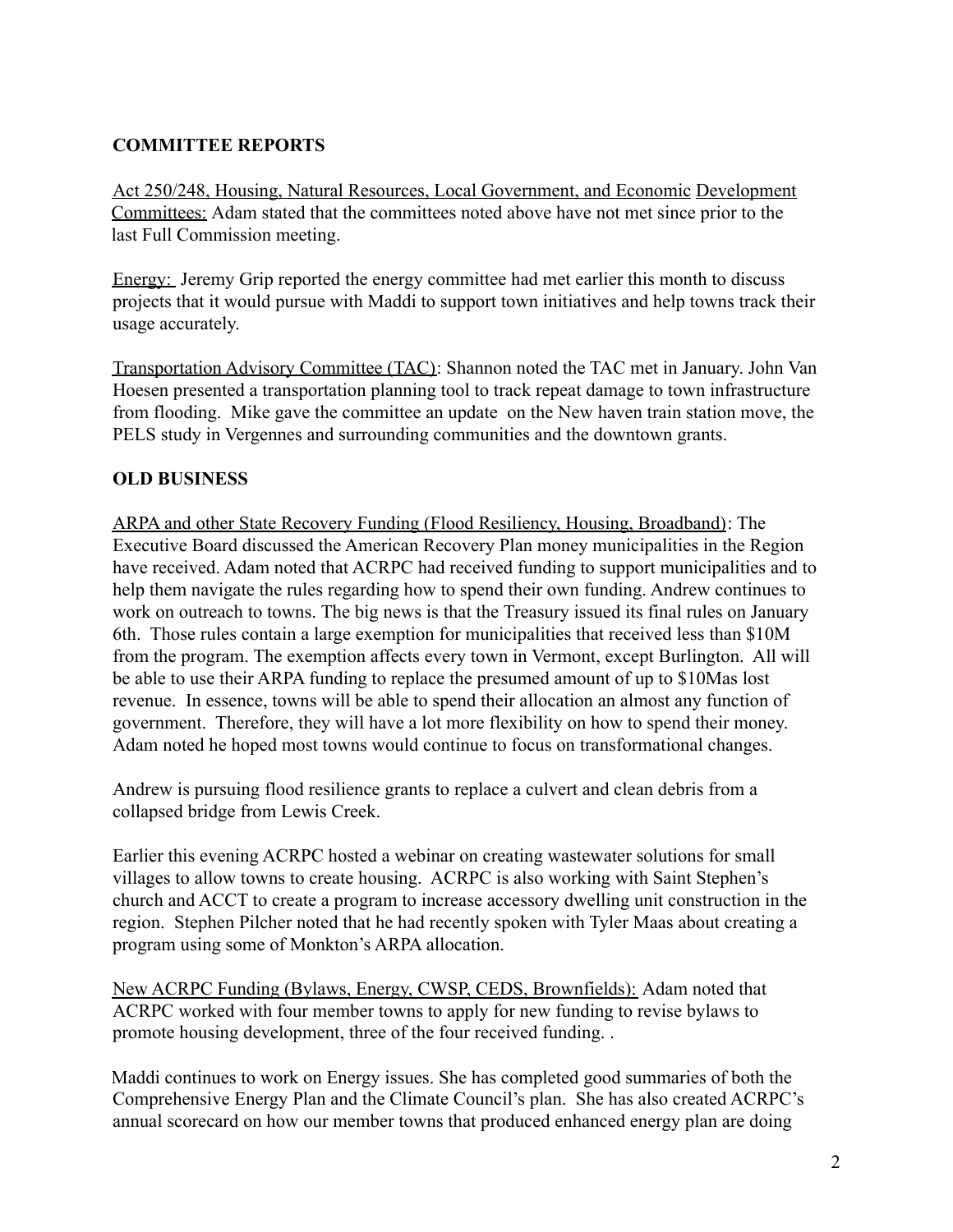# **COMMITTEE REPORTS**

Act 250/248, Housing, Natural Resources, Local Government, and Economic Development Committees: Adam stated that the committees noted above have not met since prior to the last Full Commission meeting.

Energy: Jeremy Grip reported the energy committee had met earlier this month to discuss projects that it would pursue with Maddi to support town initiatives and help towns track their usage accurately.

Transportation Advisory Committee (TAC): Shannon noted the TAC met in January. John Van Hoesen presented a transportation planning tool to track repeat damage to town infrastructure from flooding. Mike gave the committee an update on the New haven train station move, the PELS study in Vergennes and surrounding communities and the downtown grants.

## **OLD BUSINESS**

ARPA and other State Recovery Funding (Flood Resiliency, Housing, Broadband): The Executive Board discussed the American Recovery Plan money municipalities in the Region have received. Adam noted that ACRPC had received funding to support municipalities and to help them navigate the rules regarding how to spend their own funding. Andrew continues to work on outreach to towns. The big news is that the Treasury issued its final rules on January 6th. Those rules contain a large exemption for municipalities that received less than \$10M from the program. The exemption affects every town in Vermont, except Burlington. All will be able to use their ARPA funding to replace the presumed amount of up to \$10Mas lost revenue. In essence, towns will be able to spend their allocation an almost any function of government. Therefore, they will have a lot more flexibility on how to spend their money. Adam noted he hoped most towns would continue to focus on transformational changes.

Andrew is pursuing flood resilience grants to replace a culvert and clean debris from a collapsed bridge from Lewis Creek.

Earlier this evening ACRPC hosted a webinar on creating wastewater solutions for small villages to allow towns to create housing. ACRPC is also working with Saint Stephen's church and ACCT to create a program to increase accessory dwelling unit construction in the region. Stephen Pilcher noted that he had recently spoken with Tyler Maas about creating a program using some of Monkton's ARPA allocation.

New ACRPC Funding (Bylaws, Energy, CWSP, CEDS, Brownfields): Adam noted that ACRPC worked with four member towns to apply for new funding to revise bylaws to promote housing development, three of the four received funding. .

Maddi continues to work on Energy issues. She has completed good summaries of both the Comprehensive Energy Plan and the Climate Council's plan. She has also created ACRPC's annual scorecard on how our member towns that produced enhanced energy plan are doing